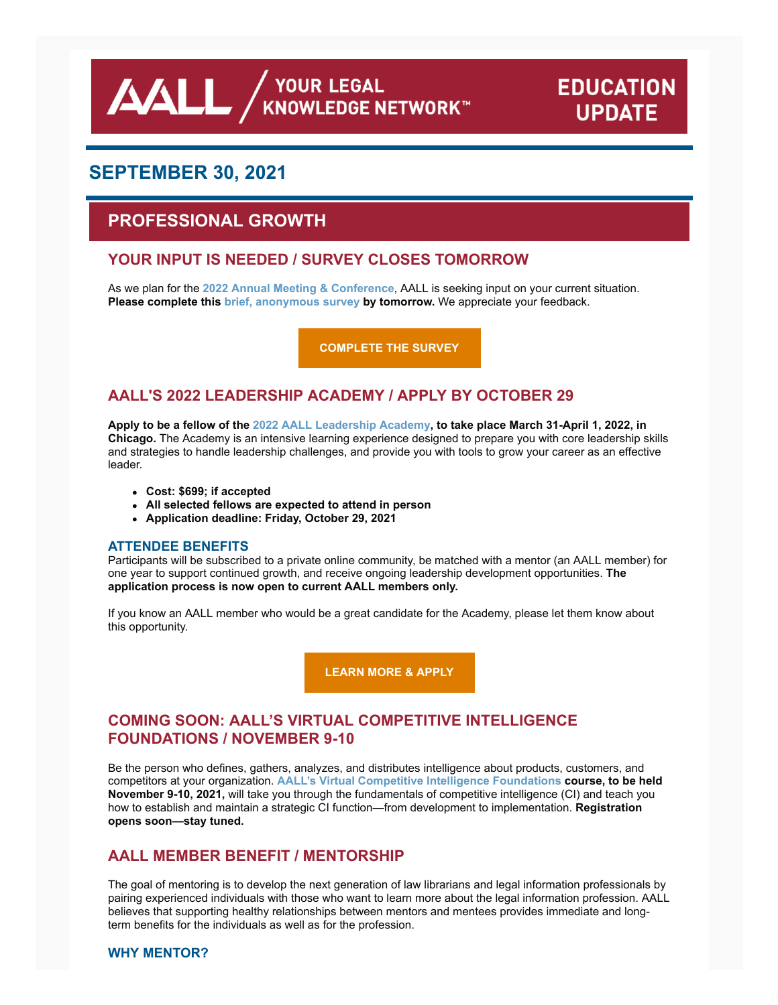**AALL** AND VOUR LEGAL

# **EDUCATION UPDATE**

## **SEPTEMBER 30, 2021**

## **PROFESSIONAL GROWTH**

### **YOUR INPUT IS NEEDED / SURVEY CLOSES TOMORROW**

As we plan for the **[2022 Annual Meeting & Conference](https://www.aallnet.org/conference/)**, AALL is seeking input on your current situation. **Please complete this [brief, anonymous survey](https://www.surveymonkey.com/r/T2B6WCQ) by tomorrow.** We appreciate your feedback.

**[COMPLETE THE SURVEY](https://www.surveymonkey.com/r/T2B6WCQ)**

### **AALL'S 2022 LEADERSHIP ACADEMY / APPLY BY OCTOBER 29**

**Apply to be a fellow of the [2022 AALL Leadership Academy,](https://www.aallnet.org/education-training/in-person-programs-seminars/leadership-academy/) to take place March 31-April 1, 2022, in Chicago.** The Academy is an intensive learning experience designed to prepare you with core leadership skills and strategies to handle leadership challenges, and provide you with tools to grow your career as an effective leader.

- **Cost: \$699; if accepted**
- **All selected fellows are expected to attend in person**
- **Application deadline: Friday, October 29, 2021**

#### **ATTENDEE BENEFITS**

Participants will be subscribed to a private online community, be matched with a mentor (an AALL member) for one year to support continued growth, and receive ongoing leadership development opportunities. **The application process is now open to current AALL members only.**

If you know an AALL member who would be a great candidate for the Academy, please let them know about this opportunity.

**[LEARN MORE & APPLY](https://www.aallnet.org/education-training/in-person-programs-seminars/leadership-academy/)**

### **COMING SOON: AALL'S VIRTUAL COMPETITIVE INTELLIGENCE FOUNDATIONS / NOVEMBER 9-10**

Be the person who defines, gathers, analyzes, and distributes intelligence about products, customers, and competitors at your organization. **[AALL's Virtual Competitive Intelligence Foundations](https://www.aallnet.org/education-training/in-person-programs-seminars/competitive-intelligence-series/ci-foundations/) course, to be held November 9-10, 2021,** will take you through the fundamentals of competitive intelligence (CI) and teach you how to establish and maintain a strategic CI function—from development to implementation. **Registration opens soon—stay tuned.**

### **AALL MEMBER BENEFIT / MENTORSHIP**

The goal of mentoring is to develop the next generation of law librarians and legal information professionals by pairing experienced individuals with those who want to learn more about the legal information profession. AALL believes that supporting healthy relationships between mentors and mentees provides immediate and longterm benefits for the individuals as well as for the profession.

#### **WHY MENTOR?**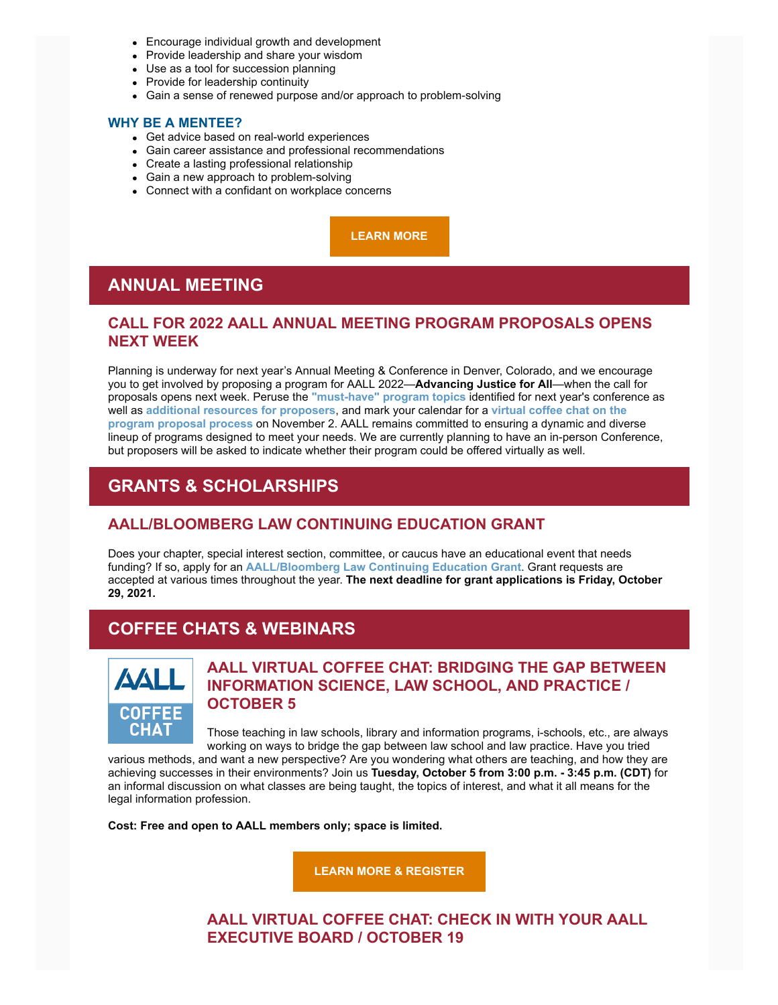- Encourage individual growth and development
- Provide leadership and share your wisdom
- Use as a tool for succession planning
- Provide for leadership continuity
- Gain a sense of renewed purpose and/or approach to problem-solving

#### **WHY BE A MENTEE?**

- Get advice based on real-world experiences
- Gain career assistance and professional recommendations
- Create a lasting professional relationship
- Gain a new approach to problem-solving
- Connect with a confidant on workplace concerns

**[LEARN MORE](https://www.aallnet.org/careers/mentor-program/)**

## **ANNUAL MEETING**

### **CALL FOR 2022 AALL ANNUAL MEETING PROGRAM PROPOSALS OPENS NEXT WEEK**

Planning is underway for next year's Annual Meeting & Conference in Denver, Colorado, and we encourage you to get involved by proposing a program for AALL 2022—**Advancing Justice for All**—when the call for proposals opens next week. Peruse the **["must-have" program topics](https://www.aallnet.org/conference/resources/proposing-a-program/must-program-topics/)** identified for next year's conference as well as **[additional resources for proposers](https://www.aallnet.org/conference/resources/proposing-a-program/)**, and mark your calendar for a **virtual coffee chat on the program proposal process** [on November 2. AALL remains committed to ensuring a dynamic and dive](https://elearning.aallnet.org/products/virtual-coffee-chat-proposing-a-program-for-aall-2022)rse lineup of programs designed to meet your needs. We are currently planning to have an in-person Conference, but proposers will be asked to indicate whether their program could be offered virtually as well.

## **GRANTS & SCHOLARSHIPS**

### **AALL/BLOOMBERG LAW CONTINUING EDUCATION GRANT**

Does your chapter, special interest section, committee, or caucus have an educational event that needs funding? If so, apply for an **[AALL/Bloomberg Law Continuing Education Grant](https://www.aallnet.org/education-training/grants/cpe-program-grants/)**. Grant requests are accepted at various times throughout the year. **The next deadline for grant applications is Friday, October 29, 2021.**

## **COFFEE CHATS & WEBINARS**



### **AALL VIRTUAL COFFEE CHAT: BRIDGING THE GAP BETWEEN INFORMATION SCIENCE, LAW SCHOOL, AND PRACTICE / OCTOBER 5**

Those teaching in law schools, library and information programs, i-schools, etc., are always working on ways to bridge the gap between law school and law practice. Have you tried

various methods, and want a new perspective? Are you wondering what others are teaching, and how they are achieving successes in their environments? Join us **Tuesday, October 5 from 3:00 p.m. - 3:45 p.m. (CDT)** for an informal discussion on what classes are being taught, the topics of interest, and what it all means for the legal information profession.

**Cost: Free and open to AALL members only; space is limited.**

**[LEARN MORE & REGISTER](https://elearning.aallnet.org/products/virtual-coffee-chat-bridging-the-gap-between-information-science-law-school-and-practice)**

**AALL VIRTUAL COFFEE CHAT: CHECK IN WITH YOUR AALL EXECUTIVE BOARD / OCTOBER 19**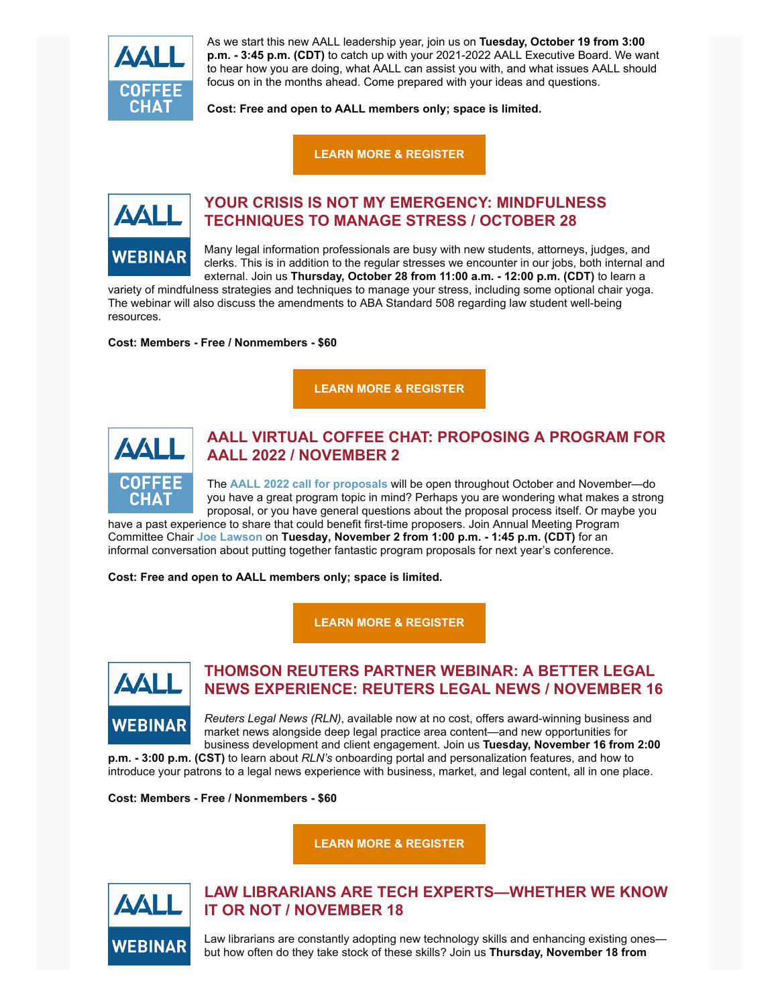

As we start this new AALL leadership year, join us on **Tuesday, October 19 from 3:00 p.m. - 3:45 p.m. (CDT)** to catch up with your 2021-2022 AALL Executive Board. We want to hear how you are doing, what AALL can assist you with, and what issues AALL should focus on in the months ahead. Come prepared with your ideas and questions.

**Cost: Free and open to AALL members only; space is limited.**

**[LEARN MORE & REGISTER](https://elearning.aallnet.org/products/virtual-coffee-chat-check-in-with-your-aall-executive-board)**



### **YOUR CRISIS IS NOT MY EMERGENCY: MINDFULNESS TECHNIQUES TO MANAGE STRESS / OCTOBER 28**

Many legal information professionals are busy with new students, attorneys, judges, and clerks. This is in addition to the regular stresses we encounter in our jobs, both internal and external. Join us **Thursday, October 28 from 11:00 a.m. - 12:00 p.m. (CDT)** to learn a

variety of mindfulness strategies and techniques to manage your stress, including some optional chair yoga. The webinar will also discuss the amendments to ABA Standard 508 regarding law student well-being resources.

**Cost: Members - Free / Nonmembers - \$60**

**[LEARN MORE & REGISTER](https://elearning.aallnet.org/products/your-crisis-is-not-my-emergency-mindfulness-techniques-to-manage-stress)**



### **AALL VIRTUAL COFFEE CHAT: PROPOSING A PROGRAM FOR AALL 2022 / NOVEMBER 2**

The **[AALL 2022 call for proposals](https://www.aallnet.org/conference/resources/proposing-a-program/)** will be open throughout October and November—do you have a great program topic in mind? Perhaps you are wondering what makes a strong proposal, or you have general questions about the proposal process itself. Or maybe you

have a past experience to share that could benefit first-time proposers. Join Annual Meeting Program Committee Chair **Joe [Lawson](https://www.aallnet.org/members_only/membership/IndividualFormPublicMembers/detail?id=2010017814F)** on **Tuesday, November 2 from 1:00 p.m. - 1:45 p.m. (CDT)** for an informal conversation about putting together fantastic program proposals for next year's conference.

**Cost: Free and open to AALL members only; space is limited.**

**[LEARN MORE & REGISTER](https://elearning.aallnet.org/products/virtual-coffee-chat-proposing-a-program-for-aall-2022)**



### **THOMSON REUTERS PARTNER WEBINAR: A BETTER LEGAL NEWS EXPERIENCE: REUTERS LEGAL NEWS / NOVEMBER 16**

*Reuters Legal News (RLN)*, available now at no cost, offers award-winning business and market news alongside deep legal practice area content—and new opportunities for business development and client engagement. Join us **Tuesday, November 16 from 2:00**

**p.m. - 3:00 p.m. (CST)** to learn about *RLN's* onboarding portal and personalization features, and how to introduce your patrons to a legal news experience with business, market, and legal content, all in one place.

**Cost: Members - Free / Nonmembers - \$60**

**[LEARN MORE & REGISTER](https://elearning.aallnet.org/products/a-better-legal-news-experience-reuters-legal-news-thomson-reuters-partner-webinar)**



### **LAW LIBRARIANS ARE TECH EXPERTS—WHETHER WE KNOW IT OR NOT / NOVEMBER 18**

Law librarians are constantly adopting new technology skills and enhancing existing ones but how often do they take stock of these skills? Join us **Thursday, November 18 from**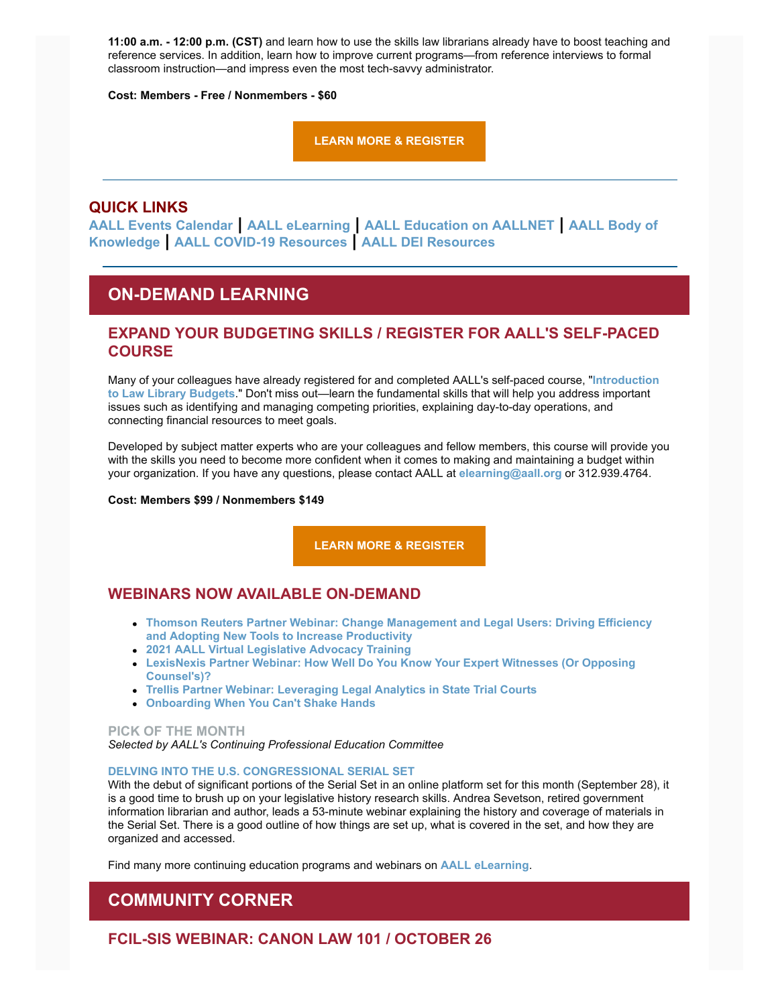**11:00 a.m. - 12:00 p.m. (CST)** and learn how to use the skills law librarians already have to boost teaching and reference services. In addition, learn how to improve current programs—from reference interviews to formal classroom instruction—and impress even the most tech-savvy administrator.

**Cost: Members - Free / Nonmembers - \$60**

**[LEARN MORE & REGISTER](https://elearning.aallnet.org/products/law-librarians-are-tech-expertswhether-we-know-it-or-not)**

### **QUICK LINKS**

**[AALL Events Calendar](https://www.aallnet.org/forms/MeetingCalendar/) | [AALL eLearning](https://elearning.aallnet.org/) | [AALL Education on AALLNET](https://www.aallnet.org/education-training/bok/) | AALL Body of Knowledge | [AALL COVID-19 Resources](https://www.aallnet.org/about-us/press-room/coronavirus/) | [AALL DEI Resources](https://www.aallnet.org/about-us/press-room/anti-racism-diversity-equity-inclusion/)**

## **ON-DEMAND LEARNING**

### **EXPAND YOUR BUDGETING SKILLS / REGISTER FOR AALL'S SELF-PACED COURSE**

[Many of your colleagues have already registered for and completed AALL's self-paced course, "](https://elearning.aallnet.org/products/introduction-to-law-library-budgets-2)**Introduction to Law Library Budgets**." Don't miss out—learn the fundamental skills that will help you address important issues such as identifying and managing competing priorities, explaining day-to-day operations, and connecting financial resources to meet goals.

Developed by subject matter experts who are your colleagues and fellow members, this course will provide you with the skills you need to become more confident when it comes to making and maintaining a budget within your organization. If you have any questions, please contact AALL at **[elearning@aall.org](mailto:elearning@aall.org)** or 312.939.4764.

**Cost: Members \$99 / Nonmembers \$149**

**[LEARN MORE & REGISTER](https://elearning.aallnet.org/products/introduction-to-law-library-budgets-2)**

### **WEBINARS NOW AVAILABLE ON-DEMAND**

- **[Thomson Reuters Partner Webinar: Change Management and Legal Users: Driving Efficiency](https://elearning.aallnet.org/products/change-management-and-legal-users-driving-efficiency-and-adopting-new-tools-to-increase-productivity-thomson-reuters-webinar) and Adopting New Tools to Increase Productivity**
- **[2021 AALL Virtual Legislative Advocacy Training](https://elearning.aallnet.org/products/2021-aall-virtual-legislative-advocacy-training)**
- **[LexisNexis Partner Webinar: How Well Do You Know Your Expert Witnesses \(Or Opposing](https://elearning.aallnet.org/products/how-well-do-you-know-your-expert-witnesses-or-opposing-counsels-lexisnexis-partner-webinar) Counsel's)?**
- **[Trellis Partner Webinar: Leveraging Legal Analytics in State Trial Courts](https://elearning.aallnet.org/products/leveraging-legal-analytics-in-state-trial-courts-trellis-partner-webinar)**
- **[Onboarding When You Can't Shake Hands](https://elearning.aallnet.org/products/onboarding-when-you-cant-shake-hands)**

#### **PICK OF THE MONTH**

*Selected by AALL's Continuing Professional Education Committee*

#### **[DELVING INTO THE U.S. CONGRESSIONAL SERIAL SET](https://www.fdlp.gov/delving-into-the-u-s-congressional-serial-set)**

With the debut of significant portions of the Serial Set in an online platform set for this month (September 28), it is a good time to brush up on your legislative history research skills. Andrea Sevetson, retired government information librarian and author, leads a 53-minute webinar explaining the history and coverage of materials in the Serial Set. There is a good outline of how things are set up, what is covered in the set, and how they are organized and accessed.

Find many more continuing education programs and webinars on **[AALL eLearning](https://elearning.aallnet.org/)**.

## **COMMUNITY CORNER**

**FCIL-SIS WEBINAR: CANON LAW 101 / OCTOBER 26**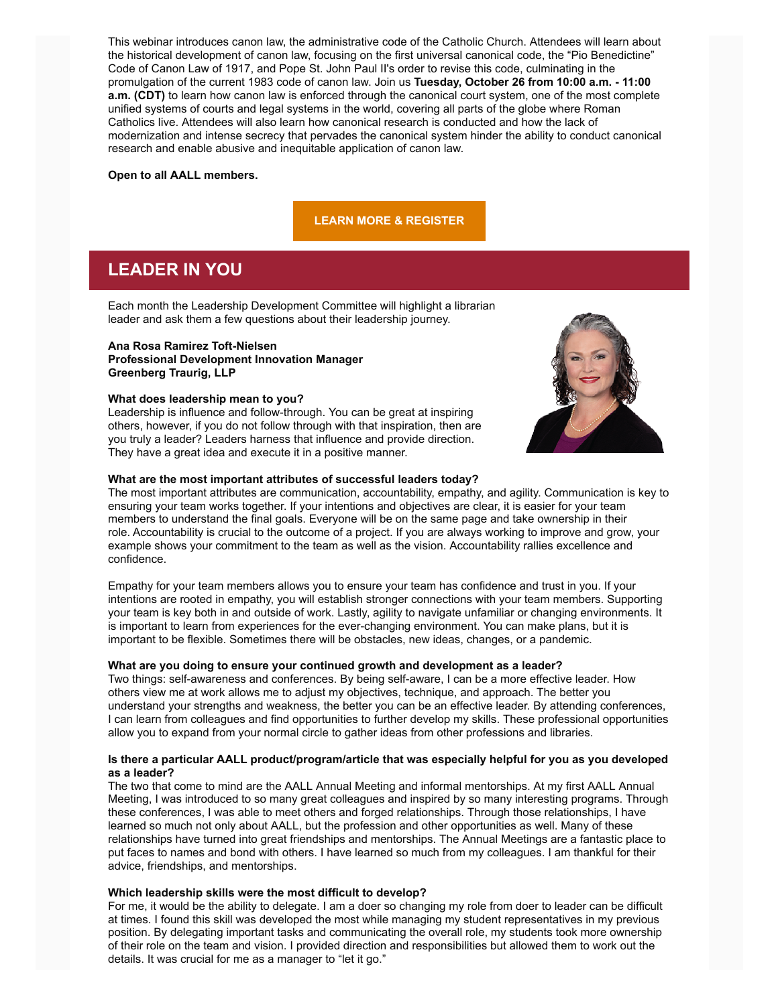This webinar introduces canon law, the administrative code of the Catholic Church. Attendees will learn about the historical development of canon law, focusing on the first universal canonical code, the "Pio Benedictine" Code of Canon Law of 1917, and Pope St. John Paul II's order to revise this code, culminating in the promulgation of the current 1983 code of canon law. Join us **Tuesday, October 26 from 10:00 a.m. - 11:00 a.m. (CDT)** to learn how canon law is enforced through the canonical court system, one of the most complete unified systems of courts and legal systems in the world, covering all parts of the globe where Roman Catholics live. Attendees will also learn how canonical research is conducted and how the lack of modernization and intense secrecy that pervades the canonical system hinder the ability to conduct canonical research and enable abusive and inequitable application of canon law.

#### **Open to all AALL members.**

#### **[LEARN MORE & REGISTER](https://www.aallnet.org/forms/meeting/MeetingFormPublic/view?id=6A7AA00000078)**

## **LEADER IN YOU**

Each month the Leadership Development Committee will highlight a librarian leader and ask them a few questions about their leadership journey.

#### **Ana Rosa Ramirez Toft-Nielsen**

**Professional Development Innovation Manager Greenberg Traurig, LLP**

#### **What does leadership mean to you?**

Leadership is influence and follow-through. You can be great at inspiring others, however, if you do not follow through with that inspiration, then are you truly a leader? Leaders harness that influence and provide direction. They have a great idea and execute it in a positive manner.

#### **What are the most important attributes of successful leaders today?**

The most important attributes are communication, accountability, empathy, and agility. Communication is key to ensuring your team works together. If your intentions and objectives are clear, it is easier for your team members to understand the final goals. Everyone will be on the same page and take ownership in their role. Accountability is crucial to the outcome of a project. If you are always working to improve and grow, your example shows your commitment to the team as well as the vision. Accountability rallies excellence and confidence.

Empathy for your team members allows you to ensure your team has confidence and trust in you. If your intentions are rooted in empathy, you will establish stronger connections with your team members. Supporting your team is key both in and outside of work. Lastly, agility to navigate unfamiliar or changing environments. It is important to learn from experiences for the ever-changing environment. You can make plans, but it is important to be flexible. Sometimes there will be obstacles, new ideas, changes, or a pandemic.

#### **What are you doing to ensure your continued growth and development as a leader?**

Two things: self-awareness and conferences. By being self-aware, I can be a more effective leader. How others view me at work allows me to adjust my objectives, technique, and approach. The better you understand your strengths and weakness, the better you can be an effective leader. By attending conferences, I can learn from colleagues and find opportunities to further develop my skills. These professional opportunities allow you to expand from your normal circle to gather ideas from other professions and libraries.

#### **Is there a particular AALL product/program/article that was especially helpful for you as you developed as a leader?**

The two that come to mind are the AALL Annual Meeting and informal mentorships. At my first AALL Annual Meeting, I was introduced to so many great colleagues and inspired by so many interesting programs. Through these conferences, I was able to meet others and forged relationships. Through those relationships, I have learned so much not only about AALL, but the profession and other opportunities as well. Many of these relationships have turned into great friendships and mentorships. The Annual Meetings are a fantastic place to put faces to names and bond with others. I have learned so much from my colleagues. I am thankful for their advice, friendships, and mentorships.

#### **Which leadership skills were the most difficult to develop?**

For me, it would be the ability to delegate. I am a doer so changing my role from doer to leader can be difficult at times. I found this skill was developed the most while managing my student representatives in my previous position. By delegating important tasks and communicating the overall role, my students took more ownership of their role on the team and vision. I provided direction and responsibilities but allowed them to work out the details. It was crucial for me as a manager to "let it go."